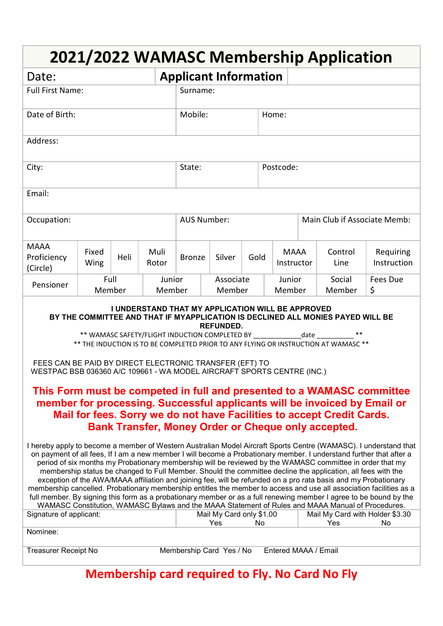| 2021/2022 WAMASC Membership Application                                                                                                                                                                                                                                                                                                                                                                                                                                                                                                                                                                                                                                                                                                                                                                                                                                                                                                                                                                                                                                                                                                                                                                                                                                                                                                                                                                                                                                                                                                                                                                                                                                                                                                                                                                                                                                                                                                                                                                   |                |      |                  |                              |        |      |                              |                           |  |                  |                          |  |
|-----------------------------------------------------------------------------------------------------------------------------------------------------------------------------------------------------------------------------------------------------------------------------------------------------------------------------------------------------------------------------------------------------------------------------------------------------------------------------------------------------------------------------------------------------------------------------------------------------------------------------------------------------------------------------------------------------------------------------------------------------------------------------------------------------------------------------------------------------------------------------------------------------------------------------------------------------------------------------------------------------------------------------------------------------------------------------------------------------------------------------------------------------------------------------------------------------------------------------------------------------------------------------------------------------------------------------------------------------------------------------------------------------------------------------------------------------------------------------------------------------------------------------------------------------------------------------------------------------------------------------------------------------------------------------------------------------------------------------------------------------------------------------------------------------------------------------------------------------------------------------------------------------------------------------------------------------------------------------------------------------------|----------------|------|------------------|------------------------------|--------|------|------------------------------|---------------------------|--|------------------|--------------------------|--|
| Date:                                                                                                                                                                                                                                                                                                                                                                                                                                                                                                                                                                                                                                                                                                                                                                                                                                                                                                                                                                                                                                                                                                                                                                                                                                                                                                                                                                                                                                                                                                                                                                                                                                                                                                                                                                                                                                                                                                                                                                                                     |                |      |                  | <b>Applicant Information</b> |        |      |                              |                           |  |                  |                          |  |
| <b>Full First Name:</b>                                                                                                                                                                                                                                                                                                                                                                                                                                                                                                                                                                                                                                                                                                                                                                                                                                                                                                                                                                                                                                                                                                                                                                                                                                                                                                                                                                                                                                                                                                                                                                                                                                                                                                                                                                                                                                                                                                                                                                                   |                |      |                  | Surname:                     |        |      |                              |                           |  |                  |                          |  |
| Date of Birth:                                                                                                                                                                                                                                                                                                                                                                                                                                                                                                                                                                                                                                                                                                                                                                                                                                                                                                                                                                                                                                                                                                                                                                                                                                                                                                                                                                                                                                                                                                                                                                                                                                                                                                                                                                                                                                                                                                                                                                                            | Mobile:        |      |                  | Home:                        |        |      |                              |                           |  |                  |                          |  |
| Address:                                                                                                                                                                                                                                                                                                                                                                                                                                                                                                                                                                                                                                                                                                                                                                                                                                                                                                                                                                                                                                                                                                                                                                                                                                                                                                                                                                                                                                                                                                                                                                                                                                                                                                                                                                                                                                                                                                                                                                                                  |                |      |                  |                              |        |      |                              |                           |  |                  |                          |  |
| City:                                                                                                                                                                                                                                                                                                                                                                                                                                                                                                                                                                                                                                                                                                                                                                                                                                                                                                                                                                                                                                                                                                                                                                                                                                                                                                                                                                                                                                                                                                                                                                                                                                                                                                                                                                                                                                                                                                                                                                                                     | State:         |      |                  | Postcode:                    |        |      |                              |                           |  |                  |                          |  |
| Email:                                                                                                                                                                                                                                                                                                                                                                                                                                                                                                                                                                                                                                                                                                                                                                                                                                                                                                                                                                                                                                                                                                                                                                                                                                                                                                                                                                                                                                                                                                                                                                                                                                                                                                                                                                                                                                                                                                                                                                                                    |                |      |                  |                              |        |      |                              |                           |  |                  |                          |  |
| Occupation:                                                                                                                                                                                                                                                                                                                                                                                                                                                                                                                                                                                                                                                                                                                                                                                                                                                                                                                                                                                                                                                                                                                                                                                                                                                                                                                                                                                                                                                                                                                                                                                                                                                                                                                                                                                                                                                                                                                                                                                               |                |      |                  | <b>AUS Number:</b>           |        |      | Main Club if Associate Memb: |                           |  |                  |                          |  |
| <b>MAAA</b><br>Proficiency<br>(Circle)                                                                                                                                                                                                                                                                                                                                                                                                                                                                                                                                                                                                                                                                                                                                                                                                                                                                                                                                                                                                                                                                                                                                                                                                                                                                                                                                                                                                                                                                                                                                                                                                                                                                                                                                                                                                                                                                                                                                                                    | Fixed<br>Wing  | Heli | Muli<br>Rotor    | <b>Bronze</b>                | Silver | Gold |                              | <b>MAAA</b><br>Instructor |  | Control<br>Line  | Requiring<br>Instruction |  |
| Pensioner                                                                                                                                                                                                                                                                                                                                                                                                                                                                                                                                                                                                                                                                                                                                                                                                                                                                                                                                                                                                                                                                                                                                                                                                                                                                                                                                                                                                                                                                                                                                                                                                                                                                                                                                                                                                                                                                                                                                                                                                 | Full<br>Member |      | Junior<br>Member | Associate<br>Member          |        |      | Junior<br>Member             |                           |  | Social<br>Member | <b>Fees Due</b><br>\$    |  |
| <b>I UNDERSTAND THAT MY APPLICATION WILL BE APPROVED</b><br>BY THE COMMITTEE AND THAT IF MYAPPLICATION IS DECLINED ALL MONIES PAYED WILL BE<br><b>REFUNDED.</b><br>** WAMASC SAFETY/FLIGHT INDUCTION COMPLETED BY date that the state that the state that the state that the state that the state of the state that the state of the state of the state of the state of the state of the state of<br>** THE INDUCTION IS TO BE COMPLETED PRIOR TO ANY FLYING OR INSTRUCTION AT WAMASC **<br>FEES CAN BE PAID BY DIRECT ELECTRONIC TRANSFER (EFT) TO<br>WESTPAC BSB 036360 A/C 109661 - WA MODEL AIRCRAFT SPORTS CENTRE (INC.)<br>This Form must be competed in full and presented to a WAMASC committee<br>member for processing. Successful applicants will be invoiced by Email or<br>Mail for fees. Sorry we do not have Facilities to accept Credit Cards.<br><b>Bank Transfer, Money Order or Cheque only accepted.</b><br>I hereby apply to become a member of Western Australian Model Aircraft Sports Centre (WAMASC). I understand that<br>on payment of all fees, If I am a new member I will become a Probationary member. I understand further that after a<br>period of six months my Probationary membership will be reviewed by the WAMASC committee in order that my<br>membership status be changed to Full Member. Should the committee decline the application, all fees with the<br>exception of the AWA/MAAA affiliation and joining fee, will be refunded on a pro rata basis and my Probationary<br>membership cancelled. Probationary membership entitles the member to access and use all association facilities as a<br>full member. By signing this form as a probationary member or as a full renewing member I agree to be bound by the<br>WAMASC Constitution, WAMASC Bylaws and the MAAA Statement of Rules and MAAA Manual of Procedures.<br>Signature of applicant:<br>Mail My Card only \$1.00<br>Mail My Card with Holder \$3.30<br>Yes<br>Yes<br>No<br>No<br>Nominee: |                |      |                  |                              |        |      |                              |                           |  |                  |                          |  |
| Entered MAAA / Email<br><b>Treasurer Receipt No</b><br>Membership Card Yes / No                                                                                                                                                                                                                                                                                                                                                                                                                                                                                                                                                                                                                                                                                                                                                                                                                                                                                                                                                                                                                                                                                                                                                                                                                                                                                                                                                                                                                                                                                                                                                                                                                                                                                                                                                                                                                                                                                                                           |                |      |                  |                              |        |      |                              |                           |  |                  |                          |  |

Membership card required to Fly. No Card No Fly